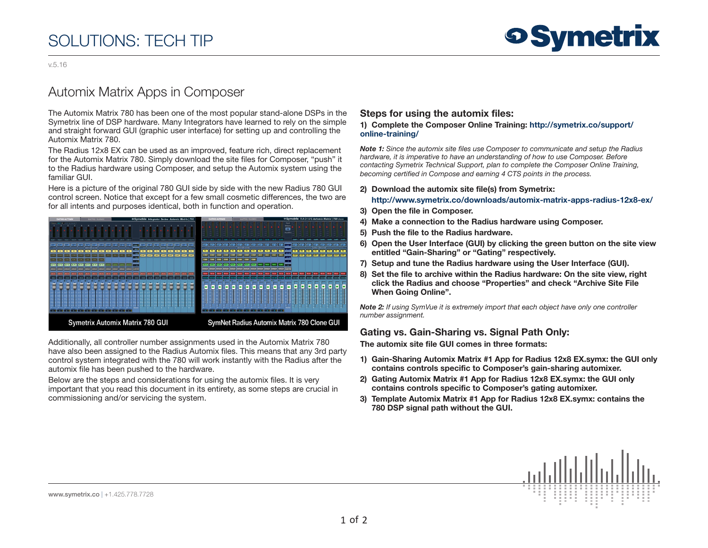# SOLUTIONS: TECH TIP

v.5.16

## Automix Matrix Apps in Composer

The Automix Matrix 780 has been one of the most popular stand-alone DSPs in the Symetrix line of DSP hardware. Many Integrators have learned to rely on the simple and straight forward GUI (graphic user interface) for setting up and controlling the Automix Matrix 780.

The Radius 12x8 EX can be used as an improved, feature rich, direct replacement for the Automix Matrix 780. Simply download the site files for Composer, "push" it to the Radius hardware using Composer, and setup the Automix system using the familiar GUI.

Here is a picture of the original 780 GUI side by side with the new Radius 780 GUI control screen. Notice that except for a few small cosmetic differences, the two are for all intents and purposes identical, both in function and operation.



Additionally, all controller number assignments used in the Automix Matrix 780 have also been assigned to the Radius Automix files. This means that any 3rd party control system integrated with the 780 will work instantly with the Radius after the automix file has been pushed to the hardware.

Below are the steps and considerations for using the automix files. It is very important that you read this document in its entirety, as some steps are crucial in commissioning and/or servicing the system.

### Steps for using the automix files:

#### 1) Complete the Composer Online Training: [http://symetrix.co/support/](http://symetrix.co/support/online-training/) [online-training/](http://symetrix.co/support/online-training/)

*Note 1: Since the automix site files use Composer to communicate and setup the Radius hardware, it is imperative to have an understanding of how to use Composer. Before contacting Symetrix Technical Support, plan to complete the Composer Online Training, becoming certified in Compose and earning 4 CTS points in the process.*

#### 2) Download the automix site file(s) from Symetrix: <http://www.symetrix.co/downloads/automix-matrix-apps-radius-12x8-ex/>

- 3) Open the file in Composer.
- 4) Make a connection to the Radius hardware using Composer.
- 5) Push the file to the Radius hardware.
- 6) Open the User Interface (GUI) by clicking the green button on the site view entitled "Gain-Sharing" or "Gating" respectively.
- 7) Setup and tune the Radius hardware using the User Interface (GUI).
- 8) Set the file to archive within the Radius hardware: On the site view, right click the Radius and choose "Properties" and check "Archive Site File When Going Online".

*Note 2: If using SymVue it is extremely import that each object have only one controller number assignment.*

### Gating vs. Gain-Sharing vs. Signal Path Only:

The automix site file GUI comes in three formats:

- 1) Gain-Sharing Automix Matrix #1 App for Radius 12x8 EX.symx: the GUI only contains controls specific to Composer's gain-sharing automixer.
- 2) Gating Automix Matrix #1 App for Radius 12x8 EX.symx: the GUI only contains controls specific to Composer's gating automixer.
- 3) Template Automix Matrix #1 App for Radius 12x8 EX.symx: contains the 780 DSP signal path without the GUI.



www.symetrix.co | +1.425.778.7728